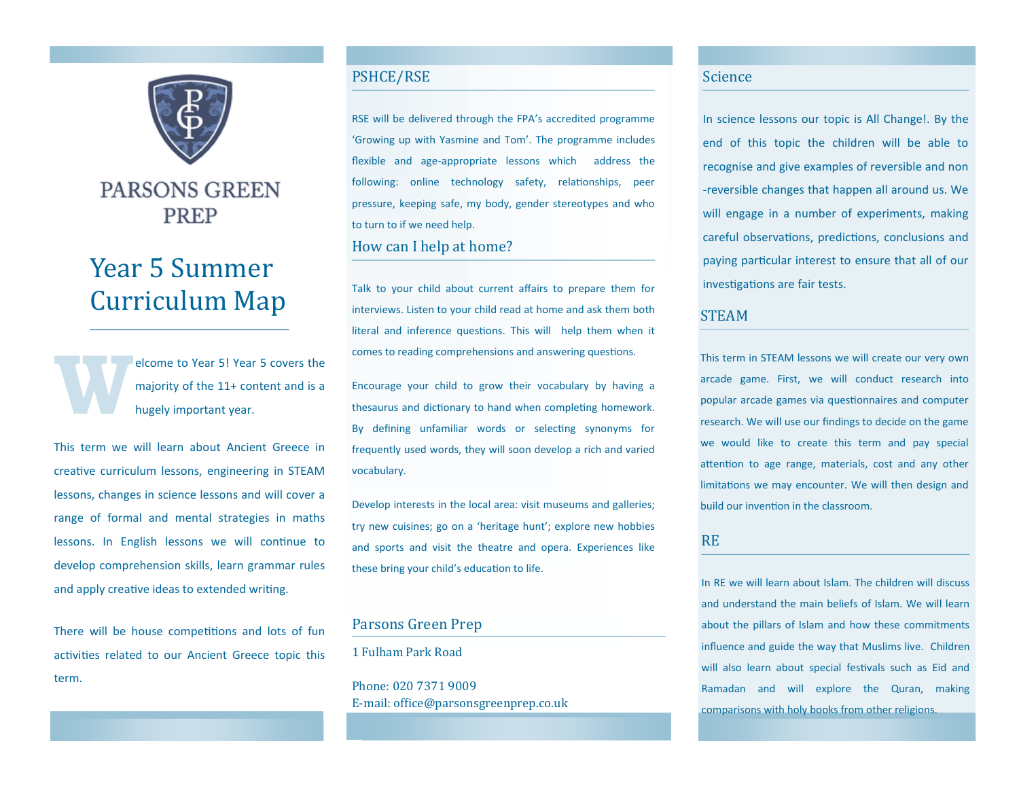

# **PARSONS GREEN PREP**

# Year 5 Summer Curriculum Map

**W** elcome to Year 5! Year 5 covers the majority of the 11+ content and is a hugely important year.

This term we will learn about Ancient Greece in creative curriculum lessons, engineering in STEAM lessons, changes in science lessons and will cover a range of formal and mental strategies in maths lessons. In English lessons we will continue to develop comprehension skills, learn grammar rules and apply creative ideas to extended writing.

There will be house competitions and lots of fun activities related to our Ancient Greece topic this term.

### PSHCE/RSE

RSE will be delivered through the FPA's accredited programme 'Growing up with Yasmine and Tom'. The programme includes flexible and age-appropriate lessons which address the following: online technology safety, relationships, peer pressure, keeping safe, my body, gender stereotypes and who to turn to if we need help.

# How can I help at home?

Talk to your child about current affairs to prepare them for interviews. Listen to your child read at home and ask them both literal and inference questions. This will help them when it comes to reading comprehensions and answering questions.

Encourage your child to grow their vocabulary by having a thesaurus and dictionary to hand when completing homework. By defining unfamiliar words or selecting synonyms for frequently used words, they will soon develop a rich and varied vocabulary.

Develop interests in the local area: visit museums and galleries; try new cuisines; go on a 'heritage hunt'; explore new hobbies and sports and visit the theatre and opera. Experiences like these bring your child's education to life.

# Parsons Green Prep

1 Fulham Park Road

Phone: 020 7371 9009 E-mail: office@parsonsgreenprep.co.uk

#### Science

In science lessons our topic is All Change!. By the end of this topic the children will be able to recognise and give examples of reversible and non -reversible changes that happen all around us. We will engage in a number of experiments, making careful observations, predictions, conclusions and paying particular interest to ensure that all of our investigations are fair tests.

#### STEAM

This term in STEAM lessons we will create our very own arcade game. First, we will conduct research into popular arcade games via questionnaires and computer research. We will use our findings to decide on the game we would like to create this term and pay special attention to age range, materials, cost and any other limitations we may encounter. We will then design and build our invention in the classroom.

#### RE

In RE we will learn about Islam. The children will discuss and understand the main beliefs of Islam. We will learn about the pillars of Islam and how these commitments influence and guide the way that Muslims live. Children will also learn about special festivals such as Eid and Ramadan and will explore the Quran, making comparisons with holy books from other religions.